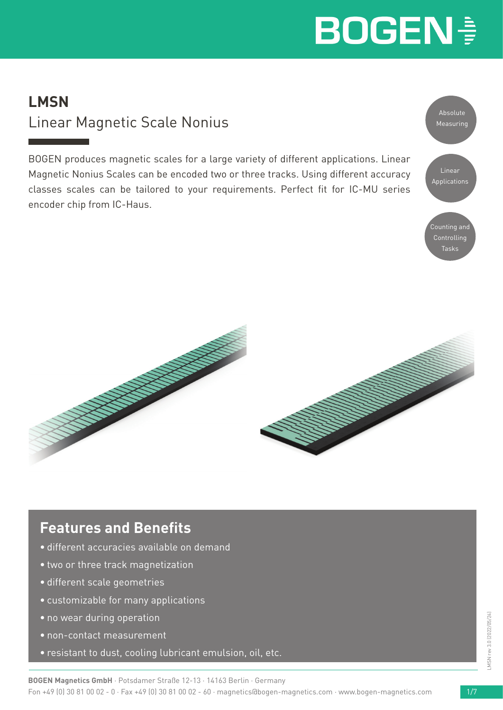### **LMSN** Linear Magnetic Scale Nonius

BOGEN produces magnetic scales for a large variety of different applications. Linear Magnetic Nonius Scales can be encoded two or three tracks. Using different accuracy classes scales can be tailored to your requirements. Perfect fit for IC-MU series encoder chip from IC-Haus.





### **Features and Benefits**

- different accuracies available on demand
- two or three track magnetization
- different scale geometries
- customizable for many applications
- no wear during operation
- non-contact measurement
- resistant to dust, cooling lubricant emulsion, oil, etc.

**BOGEN Magnetics GmbH** · Potsdamer Straße 12-13 · 14163 Berlin · Germany Fon +49 (0) 30 81 00 02 - 0 · Fax +49 (0) 30 81 00 02 - 60 · magnetics@bogen-magnetics.com · www.bogen-magnetics.com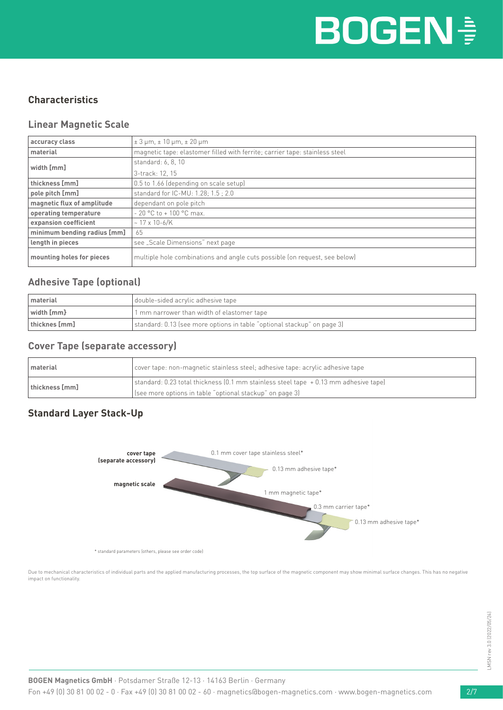#### **Characteristics**

#### **Linear Magnetic Scale**

| accuracy class              | $\pm 3$ µm, $\pm 10$ µm, $\pm 20$ µm                                        |  |
|-----------------------------|-----------------------------------------------------------------------------|--|
| material                    | magnetic tape: elastomer filled with ferrite; carrier tape: stainless steel |  |
| width [mm]                  | standard: 6, 8, 10                                                          |  |
|                             | 3-track: 12, 15                                                             |  |
| thickness [mm]              | 0.5 to 1.66 (depending on scale setup)                                      |  |
| pole pitch [mm]             | standard for IC-MU: 1.28; 1.5 ; 2.0                                         |  |
| magnetic flux of amplitude  | dependant on pole pitch                                                     |  |
| operating temperature       | $-20$ °C to $+100$ °C max.                                                  |  |
| expansion coefficient       | $~17 \times 10 - 6$ /K                                                      |  |
| minimum bending radius [mm] | 65                                                                          |  |
| length in pieces            | see "Scale Dimensions" next page                                            |  |
| mounting holes for pieces   | multiple hole combinations and angle cuts possible (on request, see below)  |  |

#### **Adhesive Tape (optional)**

| I material                         | double-sided acrylic adhesive tape                                      |  |
|------------------------------------|-------------------------------------------------------------------------|--|
| $\vert$ width $\vert$ mm $\rbrace$ | 1 mm narrower than width of elastomer tape                              |  |
| thicknes [mm]                      | standard: 0.13 (see more options in table "optional stackup" on page 3) |  |

#### **Cover Tape (separate accessory)**

| l material     | cover tape: non-magnetic stainless steel; adhesive tape: acrylic adhesive tape      |  |
|----------------|-------------------------------------------------------------------------------------|--|
| thickness [mm] | standard: 0.23 total thickness (0.1 mm stainless steel tape +0.13 mm adhesive tape) |  |
|                | (see more options in table "optional stackup" on page 3)                            |  |

#### **Standard Layer Stack-Up**



\* standard parameters (others, please see order code)

Due to mechanical characteristics of individual parts and the applied manufacturing processes, the top surface of the magnetic component may show minimal surface changes. This has no negative impact on functionality.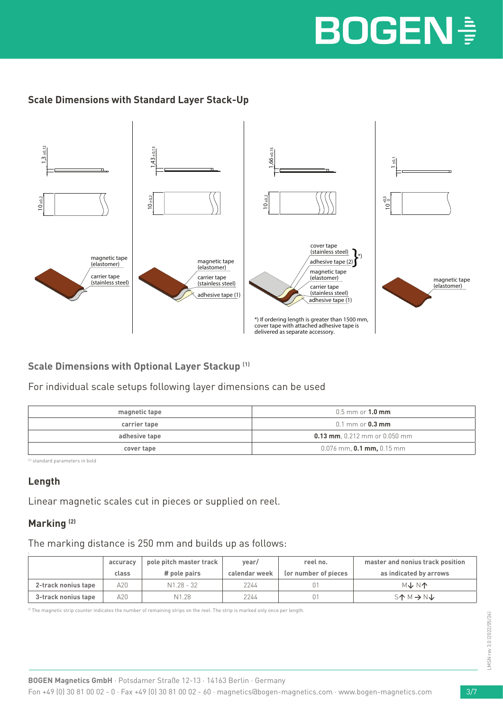#### **Scale Dimensions with Standard Layer Stack-Up**



**Scale Dimensions with Optional Layer Stackup (1)**

For individual scale setups following layer dimensions can be used

| magnetic tape | $0.5$ mm or $1.0$ mm                  |
|---------------|---------------------------------------|
| carrier tape  | $0.1 \text{ mm}$ or $0.3 \text{ mm}$  |
| adhesive tape | <b>0.13 mm</b> , 0.212 mm or 0.050 mm |
| cover tape    | $0.076$ mm, <b>0.1 mm,</b> 0.15 mm    |

(1) standard parameters in bold

#### **Length**

Linear magnetic scales cut in pieces or supplied on reel.

#### **Marking (2)**

The marking distance is 250 mm and builds up as follows:

| accuracy            |       | pole pitch master track | vear/         | reel no.             | master and nonius track position            |
|---------------------|-------|-------------------------|---------------|----------------------|---------------------------------------------|
|                     | class | # pole pairs            | calendar week | (or number of pieces | as indicated by arrows                      |
| 2-track nonius tape | A20.  | N1.28 - 32              | 2244          |                      | <b>MINT</b>                                 |
| 3-track nonius tape | A20   | N1.28                   | 2244          | 01                   | $S^{\uparrow} M \rightarrow N^{\downarrow}$ |

2) The magnetic strip counter indicates the number of remaining strips on the reel. The strip is marked only once per length.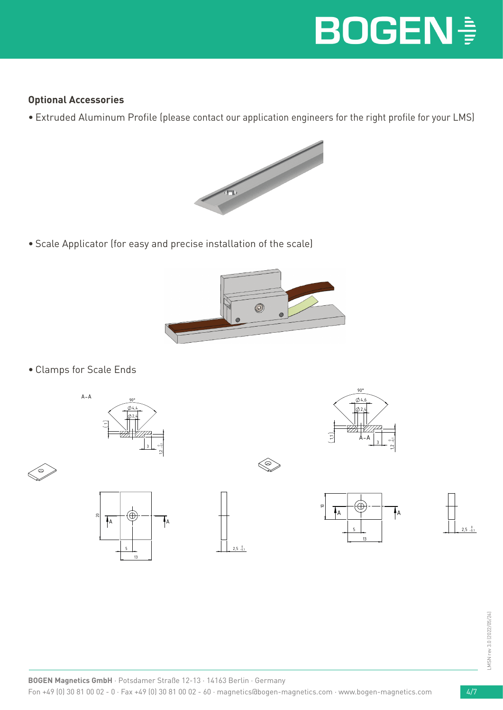#### **Optional Accessories**

• Extruded Aluminum Profile (please contact our application engineers for the right profile for your LMS)



• Scale Applicator (for easy and precise installation of the scale)



• Clamps for Scale Ends













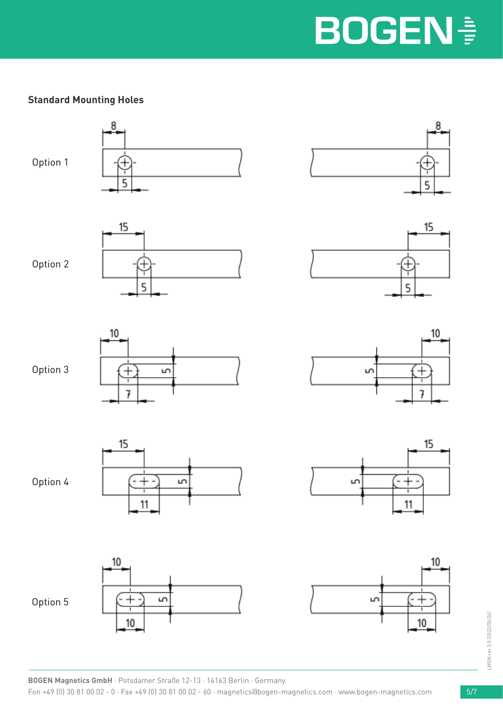#### **Standard Mounting Holes**

Option 1









5

u

10

7

15

11

 $10$ 









Option 5







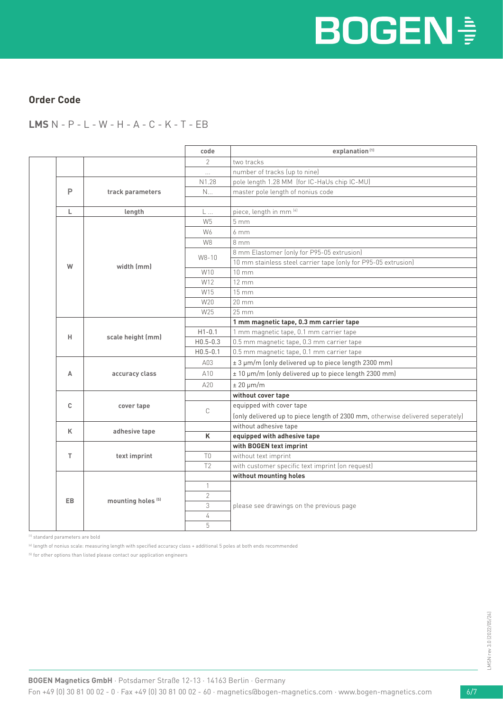#### **Order Code**

**LMS** N - P - L - W - H - A - C - K - T - EB

|  |     |                               | code           | explanation <sup>(1)</sup>                                                     |  |  |
|--|-----|-------------------------------|----------------|--------------------------------------------------------------------------------|--|--|
|  |     |                               | $\mathcal{P}$  | two tracks                                                                     |  |  |
|  |     |                               | $\cdots$       | number of tracks (up to nine)                                                  |  |  |
|  |     |                               | N1.28          | pole length 1.28 MM (for IC-HaUs chip IC-MU)                                   |  |  |
|  | P   | track parameters              | N              | master pole length of nonius code                                              |  |  |
|  |     |                               |                |                                                                                |  |  |
|  | L   | length                        | L              | piece, length in mm [4]                                                        |  |  |
|  |     |                               | W <sub>5</sub> | 5 <sub>mm</sub>                                                                |  |  |
|  |     |                               | W6             | 6mm                                                                            |  |  |
|  |     |                               | W8             | 8 mm                                                                           |  |  |
|  |     |                               | W8-10          | 8 mm Elastomer (only for P95-05 extrusion)                                     |  |  |
|  | W   | width (mm)                    |                | 10 mm stainless steel carrier tape (only for P95-05 extrusion)                 |  |  |
|  |     |                               | W10            | $10 \, \text{mm}$                                                              |  |  |
|  |     |                               | W12            | $12 \, \text{mm}$                                                              |  |  |
|  |     |                               | W15            | $15 \, \mathrm{mm}$                                                            |  |  |
|  |     |                               | W20            | 20 mm                                                                          |  |  |
|  |     |                               | W25            | $25 \, \text{mm}$                                                              |  |  |
|  |     |                               |                | 1 mm magnetic tape, 0.3 mm carrier tape                                        |  |  |
|  | н   | scale height (mm)             | $H1 - 0.1$     | 1 mm magnetic tape, 0.1 mm carrier tape                                        |  |  |
|  |     |                               | $H0.5 - 0.3$   | 0.5 mm magnetic tape, 0.3 mm carrier tape                                      |  |  |
|  |     |                               | $H0.5 - 0.1$   | 0.5 mm magnetic tape, 0.1 mm carrier tape                                      |  |  |
|  |     |                               | A03            | ± 3 µm/m (only delivered up to piece length 2300 mm)                           |  |  |
|  | A   | accuracy class                | A10            | ± 10 µm/m (only delivered up to piece length 2300 mm)                          |  |  |
|  |     |                               | A20            | $± 20 \mu m/m$                                                                 |  |  |
|  |     |                               |                | without cover tape                                                             |  |  |
|  | C   | cover tape                    |                | equipped with cover tape                                                       |  |  |
|  |     |                               | C              | (only delivered up to piece length of 2300 mm, otherwise delivered seperately) |  |  |
|  | K   | adhesive tape                 |                | without adhesive tape                                                          |  |  |
|  |     |                               | K              | equipped with adhesive tape                                                    |  |  |
|  |     |                               |                | with BOGEN text imprint                                                        |  |  |
|  | T.  | text imprint                  | T <sub>0</sub> | without text imprint                                                           |  |  |
|  |     |                               | T <sub>2</sub> | with customer specific text imprint (on request)                               |  |  |
|  | EB. |                               |                | without mounting holes                                                         |  |  |
|  |     | mounting holes <sup>(5)</sup> | $\mathbf{1}$   |                                                                                |  |  |
|  |     |                               | $\overline{2}$ |                                                                                |  |  |
|  |     |                               | 3              | please see drawings on the previous page                                       |  |  |
|  |     |                               | $\sqrt{4}$     |                                                                                |  |  |
|  |     |                               | 5              |                                                                                |  |  |

(1) standard parameters are bold

(4) length of nonius scale: measuring length with specified accuracy class + additional 5 poles at both ends recommended

(5) for other options than listed please contact our application engineers